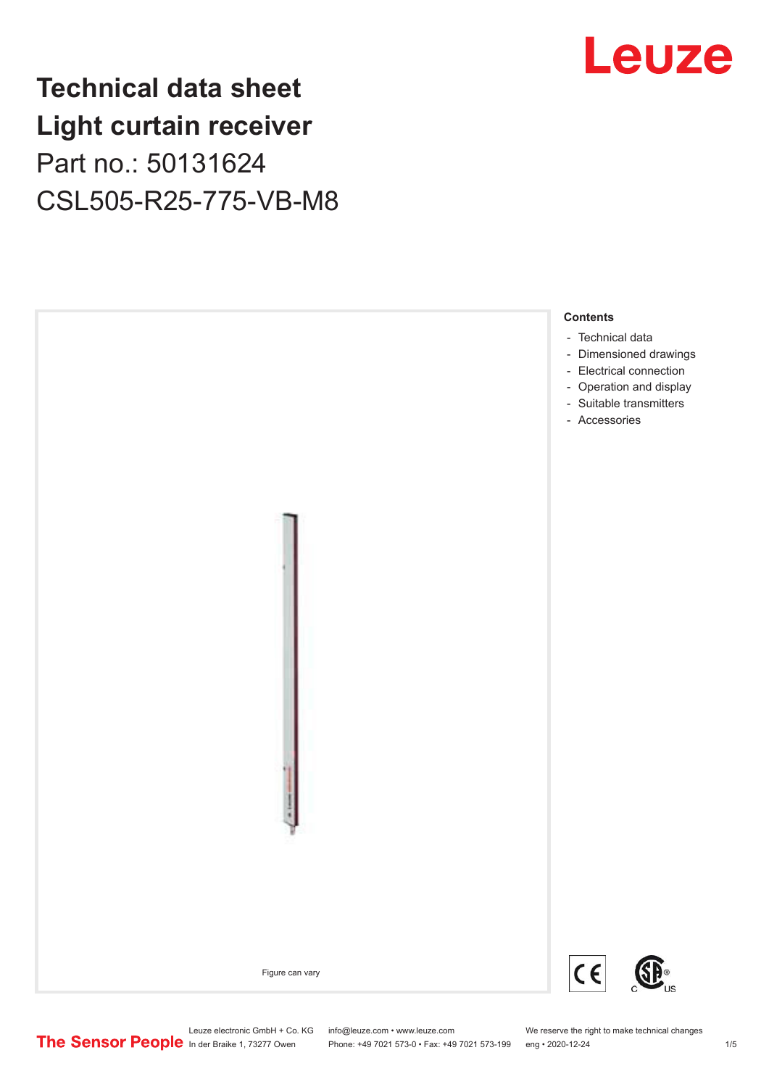### **Technical data sheet Light curtain receiver** Part no.: 50131624 CSL505-R25-775-VB-M8





Leuze electronic GmbH + Co. KG info@leuze.com • www.leuze.com We reserve the right to make technical changes<br>
The Sensor People in der Braike 1, 73277 Owen Phone: +49 7021 573-0 • Fax: +49 7021 573-199 eng • 2020-12-24

Phone: +49 7021 573-0 • Fax: +49 7021 573-199 eng • 2020-12-24 1 2020-12-24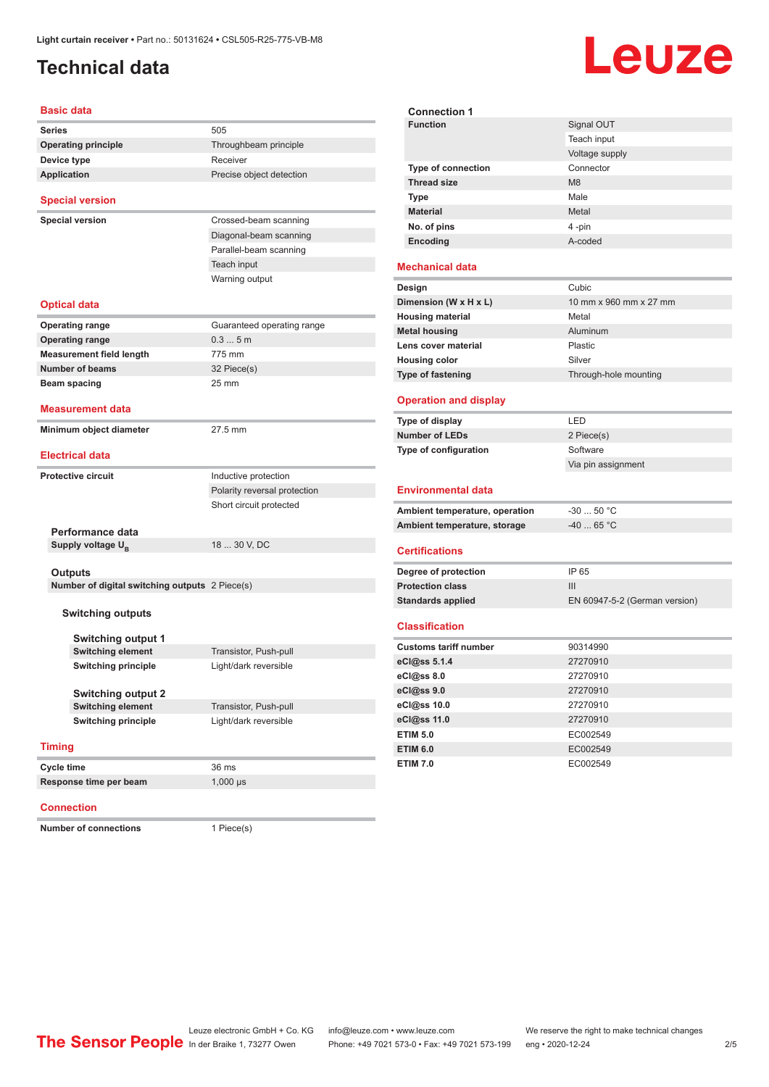### <span id="page-1-0"></span>**Technical data**

# Leuze

**Signal OUT** 

| <b>Basic data</b>                              |                              |  |  |  |
|------------------------------------------------|------------------------------|--|--|--|
| <b>Series</b>                                  | 505                          |  |  |  |
| <b>Operating principle</b>                     | Throughbeam principle        |  |  |  |
| Device type                                    | Receiver                     |  |  |  |
| <b>Application</b>                             | Precise object detection     |  |  |  |
| <b>Special version</b>                         |                              |  |  |  |
| <b>Special version</b>                         | Crossed-beam scanning        |  |  |  |
|                                                | Diagonal-beam scanning       |  |  |  |
|                                                | Parallel-beam scanning       |  |  |  |
|                                                | Teach input                  |  |  |  |
|                                                | Warning output               |  |  |  |
| <b>Optical data</b>                            |                              |  |  |  |
| <b>Operating range</b>                         | Guaranteed operating range   |  |  |  |
| <b>Operating range</b>                         | 0.35m                        |  |  |  |
| <b>Measurement field length</b>                | 775 mm                       |  |  |  |
| <b>Number of beams</b>                         | 32 Piece(s)                  |  |  |  |
| Beam spacing                                   | $25 \, \text{mm}$            |  |  |  |
| <b>Measurement data</b>                        |                              |  |  |  |
| Minimum object diameter                        | 27.5 mm                      |  |  |  |
| <b>Electrical data</b>                         |                              |  |  |  |
|                                                |                              |  |  |  |
| <b>Protective circuit</b>                      | Inductive protection         |  |  |  |
|                                                | Polarity reversal protection |  |  |  |
|                                                | Short circuit protected      |  |  |  |
| Performance data                               |                              |  |  |  |
| Supply voltage U <sub>B</sub>                  | 18  30 V, DC                 |  |  |  |
|                                                |                              |  |  |  |
| Outputs                                        |                              |  |  |  |
| Number of digital switching outputs 2 Piece(s) |                              |  |  |  |
| <b>Switching outputs</b>                       |                              |  |  |  |
| <b>Switching output 1</b>                      |                              |  |  |  |
| <b>Switching element</b>                       | Transistor, Push-pull        |  |  |  |
| <b>Switching principle</b>                     | Light/dark reversible        |  |  |  |
|                                                |                              |  |  |  |
| <b>Switching output 2</b>                      |                              |  |  |  |
| <b>Switching element</b>                       | Transistor, Push-pull        |  |  |  |
| <b>Switching principle</b>                     | Light/dark reversible        |  |  |  |
| <b>Timing</b>                                  |                              |  |  |  |
| Cycle time                                     | 36 ms                        |  |  |  |
| Response time per beam                         | $1,000$ $\mu s$              |  |  |  |
|                                                |                              |  |  |  |

#### **Connection**

**Number of connections** 1 Piece(s)

|                                | Teach input                   |
|--------------------------------|-------------------------------|
|                                | Voltage supply                |
| Type of connection             | Connector                     |
| <b>Thread size</b>             | M <sub>8</sub>                |
| <b>Type</b>                    | Male                          |
| <b>Material</b>                | Metal                         |
| No. of pins                    | 4-pin                         |
| Encoding                       | A-coded                       |
| <b>Mechanical data</b>         |                               |
| Design                         | Cubic                         |
| Dimension (W x H x L)          | 10 mm x 960 mm x 27 mm        |
| <b>Housing material</b>        | Metal                         |
| <b>Metal housing</b>           | Aluminum                      |
| Lens cover material            | Plastic                       |
| <b>Housing color</b>           | Silver                        |
| Type of fastening              | Through-hole mounting         |
| <b>Operation and display</b>   |                               |
| Type of display                | LED                           |
| <b>Number of LEDs</b>          | 2 Piece(s)                    |
| Type of configuration          | Software                      |
|                                | Via pin assignment            |
| Environmental data             |                               |
| Ambient temperature, operation | $-30$ 50 °C                   |
| Ambient temperature, storage   | $-40$ 65 °C                   |
| <b>Certifications</b>          |                               |
| Degree of protection           | IP 65                         |
| <b>Protection class</b>        | III                           |
| <b>Standards applied</b>       | EN 60947-5-2 (German version) |
| <b>Classification</b>          |                               |
| <b>Customs tariff number</b>   | 90314990                      |
| eCl@ss 5.1.4                   | 27270910                      |
| eCl@ss 8.0                     | 27270910                      |
|                                |                               |
|                                | 27270910                      |
| eCl@ss 9.0<br>eCl@ss 10.0      | 27270910                      |
| eCl@ss 11.0                    | 27270910                      |
| <b>ETIM 5.0</b>                | EC002549                      |
| <b>ETIM 6.0</b>                | EC002549                      |

**Connection 1**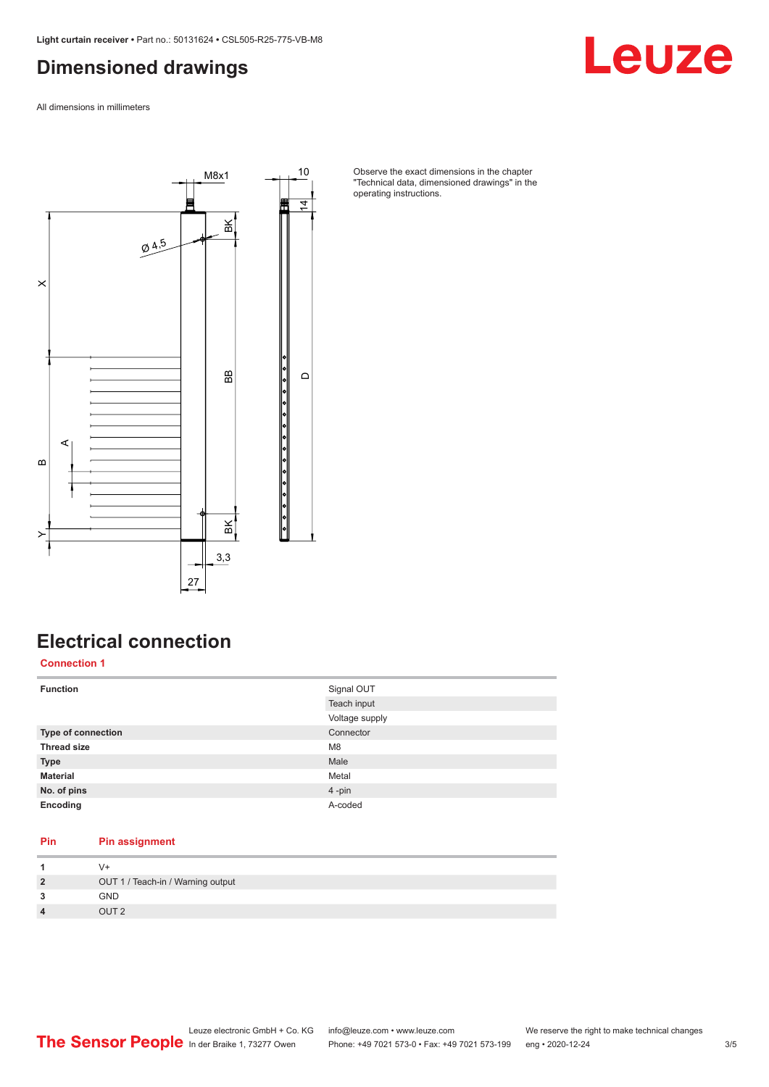#### <span id="page-2-0"></span>**Dimensioned drawings**

Leuze

All dimensions in millimeters



Observe the exact dimensions in the chapter "Technical data, dimensioned drawings" in the operating instructions.

### **Electrical connection**

**Connection 1**

| <b>Function</b>    | Signal OUT<br>Teach input<br>Voltage supply |
|--------------------|---------------------------------------------|
| Type of connection | Connector                                   |
| <b>Thread size</b> | M <sub>8</sub>                              |
| <b>Type</b>        | Male                                        |
| <b>Material</b>    | Metal                                       |
| No. of pins        | 4-pin                                       |
| Encoding           | A-coded                                     |

#### **Pin Pin assignment**

| $\overline{2}$          | OUT 1 / Teach-in / Warning output |
|-------------------------|-----------------------------------|
| 3                       | <b>GND</b>                        |
| $\overline{\mathbf{4}}$ | OUT <sub>2</sub>                  |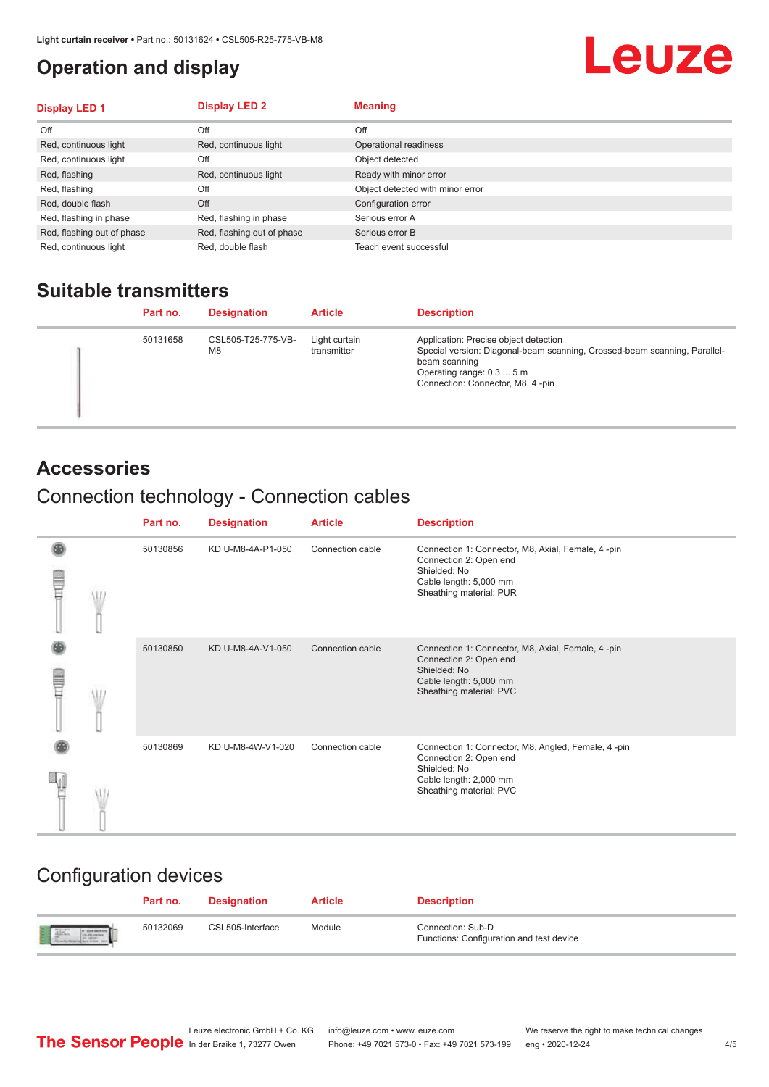#### <span id="page-3-0"></span>**Operation and display**

## Leuze

| <b>Display LED 1</b>       | <b>Display LED 2</b>       | <b>Meaning</b>                   |
|----------------------------|----------------------------|----------------------------------|
| Off                        | Off                        | Off                              |
| Red, continuous light      | Red, continuous light      | Operational readiness            |
| Red, continuous light      | Off                        | Object detected                  |
| Red, flashing              | Red, continuous light      | Ready with minor error           |
| Red, flashing              | Off                        | Object detected with minor error |
| Red, double flash          | Off                        | Configuration error              |
| Red, flashing in phase     | Red, flashing in phase     | Serious error A                  |
| Red, flashing out of phase | Red, flashing out of phase | Serious error B                  |
| Red, continuous light      | Red, double flash          | Teach event successful           |

#### **Suitable transmitters**

| Part no. | <b>Designation</b>       | <b>Article</b>               | <b>Description</b>                                                                                                                                                                                   |
|----------|--------------------------|------------------------------|------------------------------------------------------------------------------------------------------------------------------------------------------------------------------------------------------|
| 50131658 | CSL505-T25-775-VB-<br>M8 | Light curtain<br>transmitter | Application: Precise object detection<br>Special version: Diagonal-beam scanning, Crossed-beam scanning, Parallel-<br>beam scanning<br>Operating range: 0.3  5 m<br>Connection: Connector, M8, 4-pin |

#### **Accessories**

### Connection technology - Connection cables

|   | Part no. | <b>Designation</b> | <b>Article</b>   | <b>Description</b>                                                                                                                                |
|---|----------|--------------------|------------------|---------------------------------------------------------------------------------------------------------------------------------------------------|
| Ī | 50130856 | KD U-M8-4A-P1-050  | Connection cable | Connection 1: Connector, M8, Axial, Female, 4-pin<br>Connection 2: Open end<br>Shielded: No<br>Cable length: 5,000 mm<br>Sheathing material: PUR  |
|   | 50130850 | KD U-M8-4A-V1-050  | Connection cable | Connection 1: Connector, M8, Axial, Female, 4-pin<br>Connection 2: Open end<br>Shielded: No<br>Cable length: 5,000 mm<br>Sheathing material: PVC  |
|   | 50130869 | KD U-M8-4W-V1-020  | Connection cable | Connection 1: Connector, M8, Angled, Female, 4-pin<br>Connection 2: Open end<br>Shielded: No<br>Cable length: 2,000 mm<br>Sheathing material: PVC |

#### Configuration devices

|                          | Part no. | <b>Designation</b> | <b>Article</b> | <b>Description</b>                                            |
|--------------------------|----------|--------------------|----------------|---------------------------------------------------------------|
| <b>Expertise Service</b> | 50132069 | CSL505-Interface   | Module         | Connection: Sub-D<br>Functions: Configuration and test device |